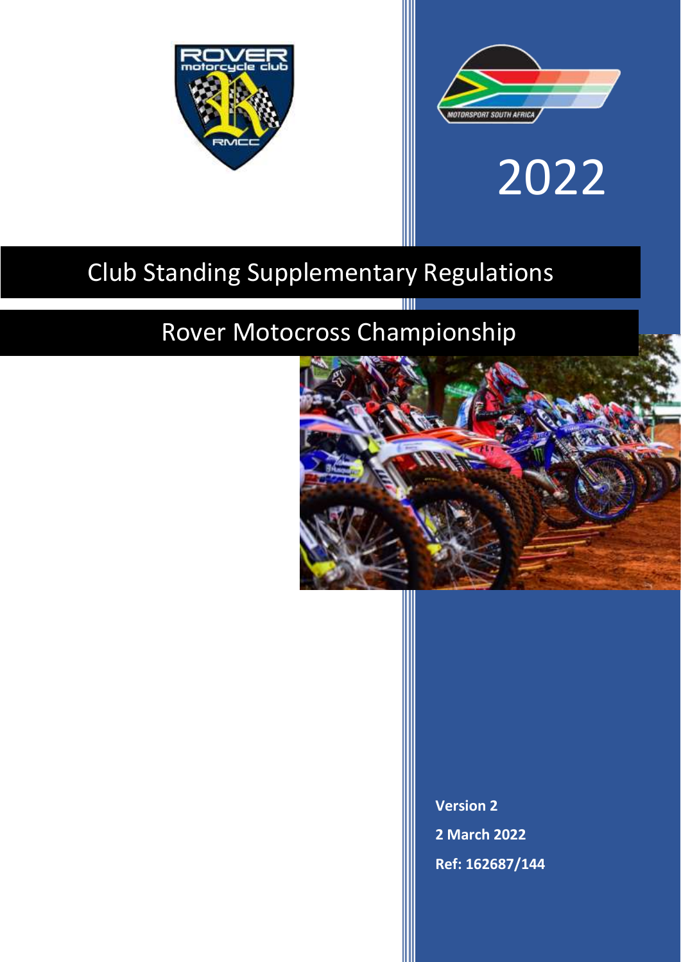



# 2022

# Club Standing Supplementary Regulations

# Rover Motocross Championship



**Version 2 2 March 2022 Ref: 162687/144**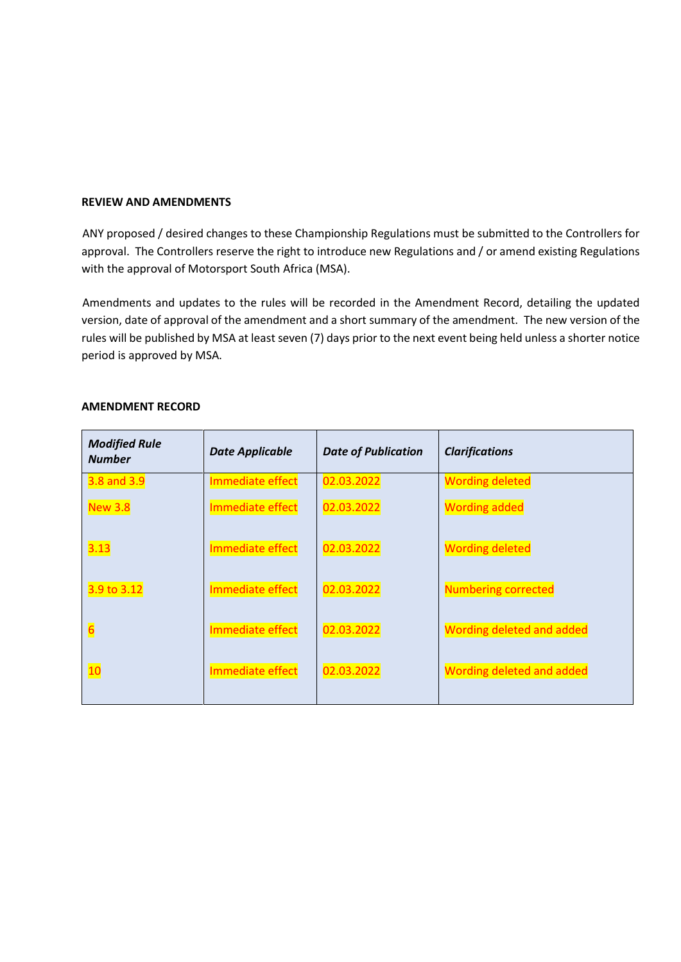#### **REVIEW AND AMENDMENTS**

ANY proposed / desired changes to these Championship Regulations must be submitted to the Controllers for approval. The Controllers reserve the right to introduce new Regulations and / or amend existing Regulations with the approval of Motorsport South Africa (MSA).

Amendments and updates to the rules will be recorded in the Amendment Record, detailing the updated version, date of approval of the amendment and a short summary of the amendment. The new version of the rules will be published by MSA at least seven (7) days prior to the next event being held unless a shorter notice period is approved by MSA.

| <b>Modified Rule</b><br><b>Number</b> | <b>Date Applicable</b> | <b>Date of Publication</b> | <b>Clarifications</b>            |
|---------------------------------------|------------------------|----------------------------|----------------------------------|
| 3.8 and 3.9                           | Immediate effect       | 02.03.2022                 | <b>Wording deleted</b>           |
| <b>New 3.8</b>                        | Immediate effect       | 02.03.2022                 | <b>Wording added</b>             |
| 3.13                                  | Immediate effect       | 02.03.2022                 | <b>Wording deleted</b>           |
| 3.9 to 3.12                           | Immediate effect       | 02.03.2022                 | <b>Numbering corrected</b>       |
| $6\overline{6}$                       | Immediate effect       | 02.03.2022                 | <b>Wording deleted and added</b> |
| 10                                    | Immediate effect       | 02.03.2022                 | Wording deleted and added        |

#### **AMENDMENT RECORD**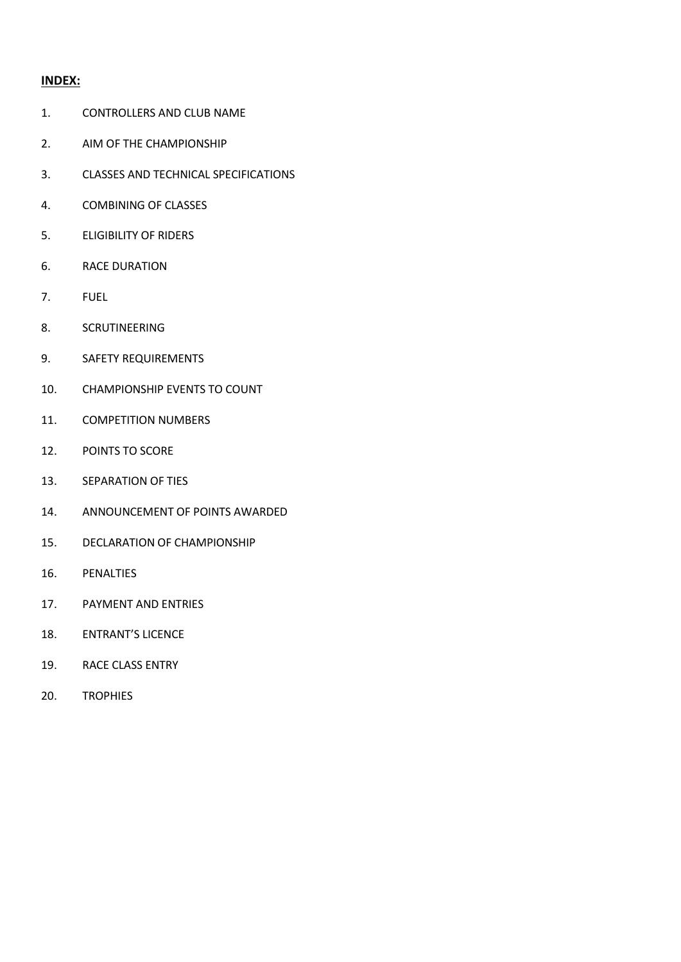# **INDEX:**

- 1. CONTROLLERS AND CLUB NAME
- 2. AIM OF THE CHAMPIONSHIP
- 3. CLASSES AND TECHNICAL SPECIFICATIONS
- 4. COMBINING OF CLASSES
- 5. ELIGIBILITY OF RIDERS
- 6. RACE DURATION
- 7. FUEL
- 8. SCRUTINEERING
- 9. SAFETY REQUIREMENTS
- 10. CHAMPIONSHIP EVENTS TO COUNT
- 11. COMPETITION NUMBERS
- 12. POINTS TO SCORE
- 13. SEPARATION OF TIES
- 14. ANNOUNCEMENT OF POINTS AWARDED
- 15. DECLARATION OF CHAMPIONSHIP
- 16. PENALTIES
- 17. PAYMENT AND ENTRIES
- 18. ENTRANT'S LICENCE
- 19. RACE CLASS ENTRY
- 20. TROPHIES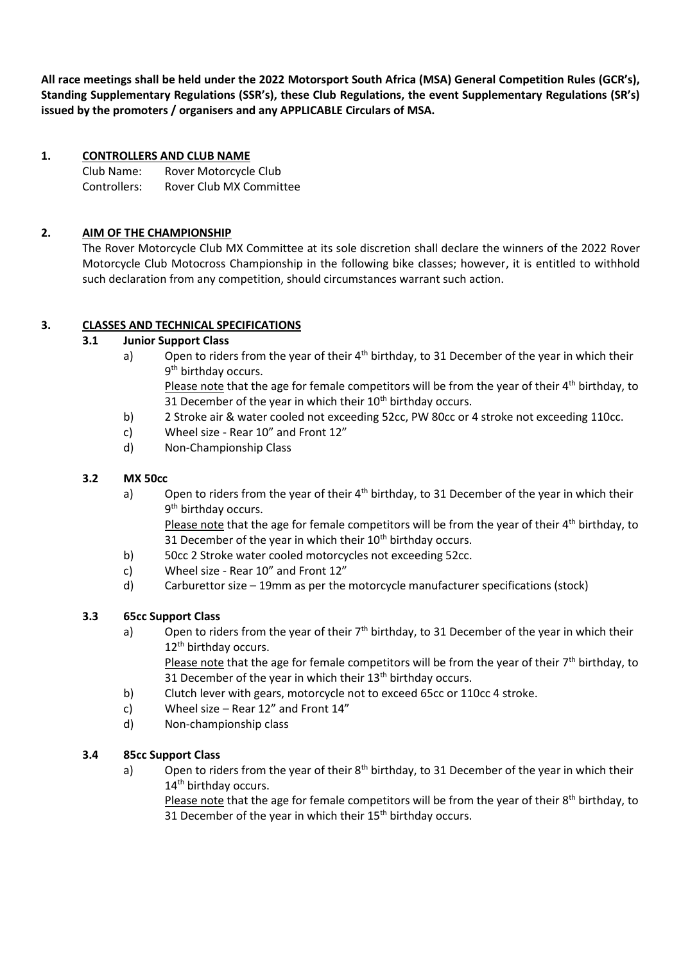**All race meetings shall be held under the 2022 Motorsport South Africa (MSA) General Competition Rules (GCR's), Standing Supplementary Regulations (SSR's), these Club Regulations, the event Supplementary Regulations (SR's) issued by the promoters / organisers and any APPLICABLE Circulars of MSA.** 

# **1. CONTROLLERS AND CLUB NAME**

Club Name: Rover Motorcycle Club Controllers: Rover Club MX Committee

# **2. AIM OF THE CHAMPIONSHIP**

The Rover Motorcycle Club MX Committee at its sole discretion shall declare the winners of the 2022 Rover Motorcycle Club Motocross Championship in the following bike classes; however, it is entitled to withhold such declaration from any competition, should circumstances warrant such action.

# **3. CLASSES AND TECHNICAL SPECIFICATIONS**

# **3.1 Junior Support Class**

a) Open to riders from the year of their  $4<sup>th</sup>$  birthday, to 31 December of the year in which their 9<sup>th</sup> birthday occurs.

Please note that the age for female competitors will be from the year of their  $4<sup>th</sup>$  birthday, to 31 December of the year in which their  $10<sup>th</sup>$  birthday occurs.

- b) 2 Stroke air & water cooled not exceeding 52cc, PW 80cc or 4 stroke not exceeding 110cc.
- c) Wheel size Rear 10" and Front 12"
- d) Non-Championship Class

# **3.2 MX 50cc**

a) Open to riders from the year of their  $4<sup>th</sup>$  birthday, to 31 December of the year in which their 9<sup>th</sup> birthday occurs.

Please note that the age for female competitors will be from the year of their  $4<sup>th</sup>$  birthday, to 31 December of the year in which their  $10<sup>th</sup>$  birthday occurs.

- b) 50cc 2 Stroke water cooled motorcycles not exceeding 52cc.
- c) Wheel size Rear 10" and Front 12"
- d) Carburettor size 19mm as per the motorcycle manufacturer specifications (stock)

# **3.3 65cc Support Class**

a) Open to riders from the year of their  $7<sup>th</sup>$  birthday, to 31 December of the year in which their 12<sup>th</sup> birthday occurs.

Please note that the age for female competitors will be from the year of their  $7<sup>th</sup>$  birthday, to 31 December of the year in which their  $13<sup>th</sup>$  birthday occurs.

- b) Clutch lever with gears, motorcycle not to exceed 65cc or 110cc 4 stroke.
- c) Wheel size Rear 12" and Front 14"
- d) Non-championship class

# **3.4 85cc Support Class**

a) Open to riders from the year of their 8<sup>th</sup> birthday, to 31 December of the year in which their 14<sup>th</sup> birthday occurs.

Please note that the age for female competitors will be from the year of their 8th birthday, to 31 December of the year in which their  $15<sup>th</sup>$  birthday occurs.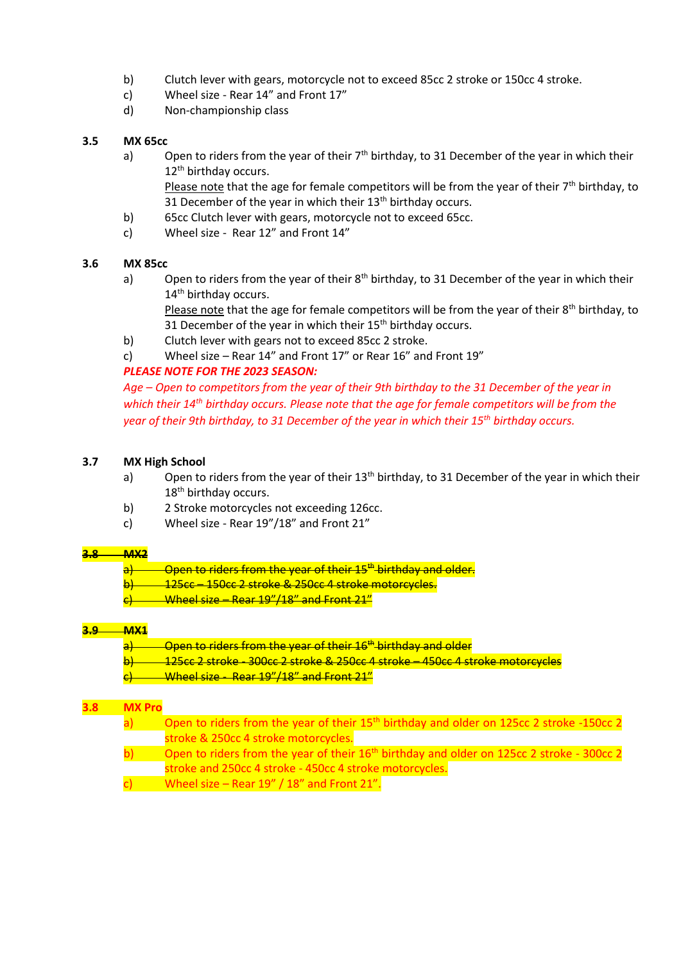- b) Clutch lever with gears, motorcycle not to exceed 85cc 2 stroke or 150cc 4 stroke.
- c) Wheel size Rear 14" and Front 17"
- d) Non-championship class

## **3.5 MX 65cc**

a) Open to riders from the year of their  $7<sup>th</sup>$  birthday, to 31 December of the year in which their 12<sup>th</sup> birthday occurs.

Please note that the age for female competitors will be from the year of their  $7<sup>th</sup>$  birthday, to 31 December of the year in which their  $13<sup>th</sup>$  birthday occurs.

- b) 65cc Clutch lever with gears, motorcycle not to exceed 65cc.
- c) Wheel size Rear 12" and Front 14"

# **3.6 MX 85cc**

a) Open to riders from the year of their  $8<sup>th</sup>$  birthday, to 31 December of the year in which their 14<sup>th</sup> birthday occurs.

Please note that the age for female competitors will be from the year of their 8<sup>th</sup> birthday, to 31 December of the year in which their  $15<sup>th</sup>$  birthday occurs.

- b) Clutch lever with gears not to exceed 85cc 2 stroke.
- c) Wheel size Rear 14" and Front 17" or Rear 16" and Front 19"

# *PLEASE NOTE FOR THE 2023 SEASON:*

*Age – Open to competitors from the year of their 9th birthday to the 31 December of the year in which their 14th birthday occurs. Please note that the age for female competitors will be from the year of their 9th birthday, to 31 December of the year in which their 15th birthday occurs.* 

#### **3.7 MX High School**

- a) Open to riders from the year of their 13<sup>th</sup> birthday, to 31 December of the year in which their 18<sup>th</sup> birthday occurs.
- b) 2 Stroke motorcycles not exceeding 126cc.
- c) Wheel size Rear 19"/18" and Front 21"

#### **3.8 MX2**

- $a$ ) Open to riders from the year of their 15<sup>th</sup> birthday and older.
- 125cc 150cc 2 stroke & 250cc 4 stroke motorcycles.
- $c)$  Wheel size Rear 19"/18" and Front 21"

# **3.9 MX1**

- $a$ ) Open to riders from the year of their 16<sup>th</sup> birthday and older
- b) 125cc 2 stroke 300cc 2 stroke & 250cc 4 stroke 450cc 4 stroke motorcycles
- $\frac{c}{c}$  Wheel size Rear 19"/18" and Front 21"

#### **3.8 MX Pro**

- a) Open to riders from the year of their  $15<sup>th</sup>$  birthday and older on 125cc 2 stroke -150cc 2 stroke & 250cc 4 stroke motorcycles.
- b) Open to riders from the year of their  $16<sup>th</sup>$  birthday and older on 125cc 2 stroke 300cc 2 stroke and 250cc 4 stroke - 450cc 4 stroke motorcycles.
- c) Wheel size Rear  $19'' / 18''$  and Front 21".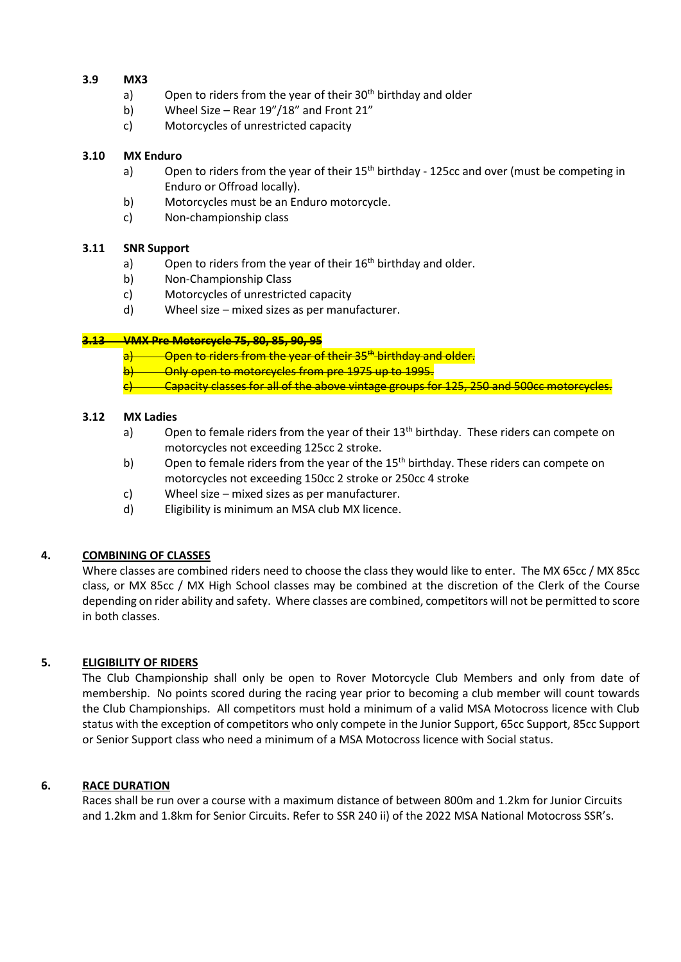#### **3.9 MX3**

- a) Open to riders from the year of their  $30<sup>th</sup>$  birthday and older
- b) Wheel Size Rear 19"/18" and Front 21"
- c) Motorcycles of unrestricted capacity

#### **3.10 MX Enduro**

- a) Open to riders from the year of their 15<sup>th</sup> birthday 125cc and over (must be competing in Enduro or Offroad locally).
- b) Motorcycles must be an Enduro motorcycle.
- c) Non-championship class

#### **3.11 SNR Support**

- a) Open to riders from the year of their  $16<sup>th</sup>$  birthday and older.
- b) Non-Championship Class
- c) Motorcycles of unrestricted capacity
- d) Wheel size mixed sizes as per manufacturer.

#### **3.13 VMX Pre Motorcycle 75, 80, 85, 90, 95**

 $a$ ) Open to riders from the year of their 35<sup>th</sup> birthday and older.

- b) Only open to motorcycles from pre 1975 up to 1995.
- Capacity classes for all of the above vintage groups for 125, 250 and 500cc motorcycles.

#### **3.12 MX Ladies**

- a) Open to female riders from the year of their  $13<sup>th</sup>$  birthday. These riders can compete on motorcycles not exceeding 125cc 2 stroke.
- b) Open to female riders from the year of the  $15<sup>th</sup>$  birthday. These riders can compete on motorcycles not exceeding 150cc 2 stroke or 250cc 4 stroke
- c) Wheel size mixed sizes as per manufacturer.
- d) Eligibility is minimum an MSA club MX licence.

# **4. COMBINING OF CLASSES**

Where classes are combined riders need to choose the class they would like to enter. The MX 65cc / MX 85cc class, or MX 85cc / MX High School classes may be combined at the discretion of the Clerk of the Course depending on rider ability and safety. Where classes are combined, competitors will not be permitted to score in both classes.

# **5. ELIGIBILITY OF RIDERS**

The Club Championship shall only be open to Rover Motorcycle Club Members and only from date of membership. No points scored during the racing year prior to becoming a club member will count towards the Club Championships. All competitors must hold a minimum of a valid MSA Motocross licence with Club status with the exception of competitors who only compete in the Junior Support, 65cc Support, 85cc Support or Senior Support class who need a minimum of a MSA Motocross licence with Social status.

# **6. RACE DURATION**

Races shall be run over a course with a maximum distance of between 800m and 1.2km for Junior Circuits and 1.2km and 1.8km for Senior Circuits. Refer to SSR 240 ii) of the 2022 MSA National Motocross SSR's.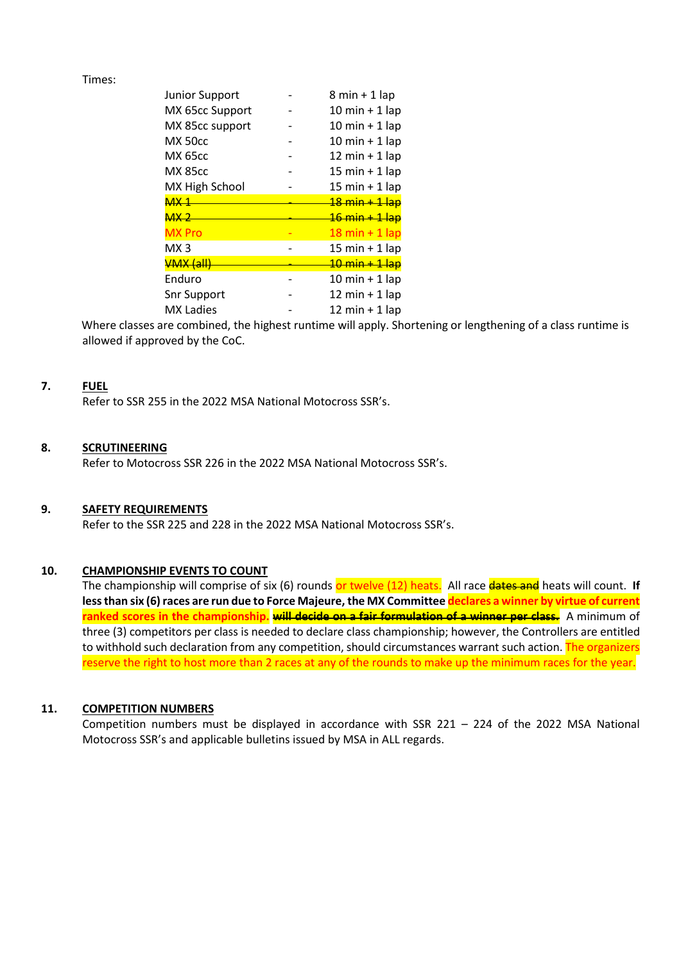#### Times:

| <b>Junior Support</b> | $8 min + 1 lap$                  |
|-----------------------|----------------------------------|
| MX 65cc Support       | $10 \text{ min} + 1 \text{ lap}$ |
| MX 85cc support       | $10 \text{ min} + 1 \text{ lap}$ |
| <b>MX 50cc</b>        | $10 \text{ min} + 1 \text{ lap}$ |
| <b>MX 65cc</b>        | 12 min $+$ 1 lap                 |
| <b>MX 85cc</b>        | $15 \text{ min} + 1 \text{ lap}$ |
| MX High School        | $15 \text{ min} + 1 \text{ lap}$ |
| MX <sub>1</sub>       | <del>18 min + 1 lap</del>        |
| <del>MX 2</del>       | <del>16 min + 1 lap</del>        |
| <b>MX</b> Pro         | $18 \text{ min} + 1 \text{ lap}$ |
| MX <sub>3</sub>       | 15 min + 1 lap                   |
| <b>VMX (all)</b>      | 10 min + 1 lap                   |
| Enduro                | $10 \text{ min} + 1 \text{ lap}$ |
| <b>Snr Support</b>    | 12 min $+$ 1 lap                 |
| <b>MX Ladies</b>      | 12 min $+$ 1 lap                 |

Where classes are combined, the highest runtime will apply. Shortening or lengthening of a class runtime is allowed if approved by the CoC.

#### **7. FUEL**

Refer to SSR 255 in the 2022 MSA National Motocross SSR's.

#### **8. SCRUTINEERING**

Refer to Motocross SSR 226 in the 2022 MSA National Motocross SSR's.

#### **9. SAFETY REQUIREMENTS**

Refer to the SSR 225 and 228 in the 2022 MSA National Motocross SSR's.

#### **10. CHAMPIONSHIP EVENTS TO COUNT**

The championship will comprise of six (6) rounds or twelve (12) heats. All race dates and heats will count. If **less than six (6) races are run due to Force Majeure, the MX Committee declares a winner by virtue of current ranked scores in the championship. will decide on a fair formulation of a winner per class.** A minimum of three (3) competitors per class is needed to declare class championship; however, the Controllers are entitled to withhold such declaration from any competition, should circumstances warrant such action. The organizers reserve the right to host more than 2 races at any of the rounds to make up the minimum races for the year.

#### **11. COMPETITION NUMBERS**

Competition numbers must be displayed in accordance with SSR 221 – 224 of the 2022 MSA National Motocross SSR's and applicable bulletins issued by MSA in ALL regards.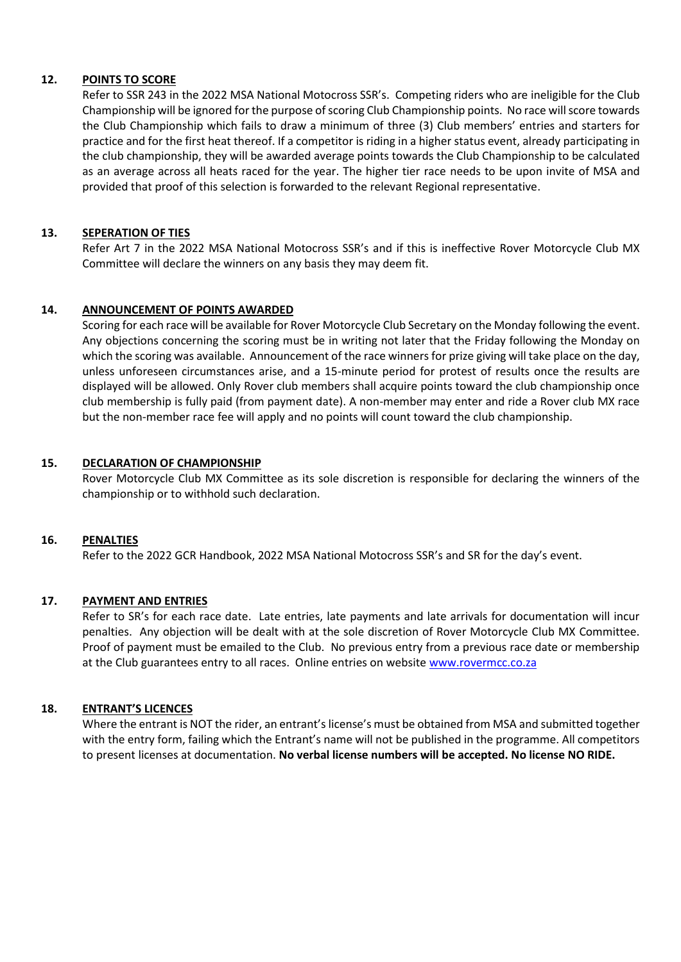#### **12. POINTS TO SCORE**

Refer to SSR 243 in the 2022 MSA National Motocross SSR's. Competing riders who are ineligible for the Club Championship will be ignored for the purpose of scoring Club Championship points. No race will score towards the Club Championship which fails to draw a minimum of three (3) Club members' entries and starters for practice and for the first heat thereof. If a competitor is riding in a higher status event, already participating in the club championship, they will be awarded average points towards the Club Championship to be calculated as an average across all heats raced for the year. The higher tier race needs to be upon invite of MSA and provided that proof of this selection is forwarded to the relevant Regional representative.

## **13. SEPERATION OF TIES**

Refer Art 7 in the 2022 MSA National Motocross SSR's and if this is ineffective Rover Motorcycle Club MX Committee will declare the winners on any basis they may deem fit.

#### **14. ANNOUNCEMENT OF POINTS AWARDED**

Scoring for each race will be available for Rover Motorcycle Club Secretary on the Monday following the event. Any objections concerning the scoring must be in writing not later that the Friday following the Monday on which the scoring was available. Announcement of the race winners for prize giving will take place on the day, unless unforeseen circumstances arise, and a 15-minute period for protest of results once the results are displayed will be allowed. Only Rover club members shall acquire points toward the club championship once club membership is fully paid (from payment date). A non-member may enter and ride a Rover club MX race but the non-member race fee will apply and no points will count toward the club championship.

#### **15. DECLARATION OF CHAMPIONSHIP**

Rover Motorcycle Club MX Committee as its sole discretion is responsible for declaring the winners of the championship or to withhold such declaration.

#### **16. PENALTIES**

Refer to the 2022 GCR Handbook, 2022 MSA National Motocross SSR's and SR for the day's event.

# **17. PAYMENT AND ENTRIES**

Refer to SR's for each race date. Late entries, late payments and late arrivals for documentation will incur penalties. Any objection will be dealt with at the sole discretion of Rover Motorcycle Club MX Committee. Proof of payment must be emailed to the Club. No previous entry from a previous race date or membership at the Club guarantees entry to all races. Online entries on website [www.rovermcc.co.za](http://www.rovermcc.co.za/)

#### **18. ENTRANT'S LICENCES**

Where the entrant is NOT the rider, an entrant's license's must be obtained from MSA and submitted together with the entry form, failing which the Entrant's name will not be published in the programme. All competitors to present licenses at documentation. **No verbal license numbers will be accepted. No license NO RIDE.**